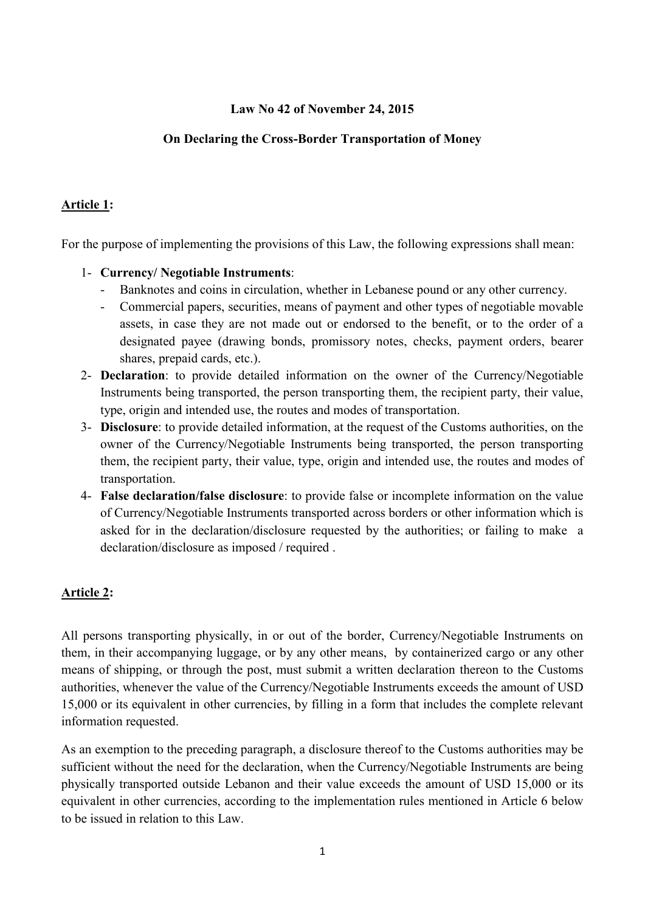### **Law No 42 of November 24, 2015**

## **On Declaring the Cross-Border Transportation of Money**

### **Article 1:**

For the purpose of implementing the provisions of this Law, the following expressions shall mean:

#### 1- **Currency/ Negotiable Instruments**:

- Banknotes and coins in circulation, whether in Lebanese pound or any other currency.
- Commercial papers, securities, means of payment and other types of negotiable movable assets, in case they are not made out or endorsed to the benefit, or to the order of a designated payee (drawing bonds, promissory notes, checks, payment orders, bearer shares, prepaid cards, etc.).
- 2- **Declaration**: to provide detailed information on the owner of the Currency/Negotiable Instruments being transported, the person transporting them, the recipient party, their value, type, origin and intended use, the routes and modes of transportation.
- 3- **Disclosure**: to provide detailed information, at the request of the Customs authorities, on the owner of the Currency/Negotiable Instruments being transported, the person transporting them, the recipient party, their value, type, origin and intended use, the routes and modes of transportation.
- 4- **False declaration/false disclosure**: to provide false or incomplete information on the value of Currency/Negotiable Instruments transported across borders or other information which is asked for in the declaration/disclosure requested by the authorities; or failing to make a declaration/disclosure as imposed / required .

# **Article 2:**

All persons transporting physically, in or out of the border, Currency/Negotiable Instruments on them, in their accompanying luggage, or by any other means, by containerized cargo or any other means of shipping, or through the post, must submit a written declaration thereon to the Customs authorities, whenever the value of the Currency/Negotiable Instruments exceeds the amount of USD 15,000 or its equivalent in other currencies, by filling in a form that includes the complete relevant information requested.

As an exemption to the preceding paragraph, a disclosure thereof to the Customs authorities may be sufficient without the need for the declaration, when the Currency/Negotiable Instruments are being physically transported outside Lebanon and their value exceeds the amount of USD 15,000 or its equivalent in other currencies, according to the implementation rules mentioned in Article 6 below to be issued in relation to this Law.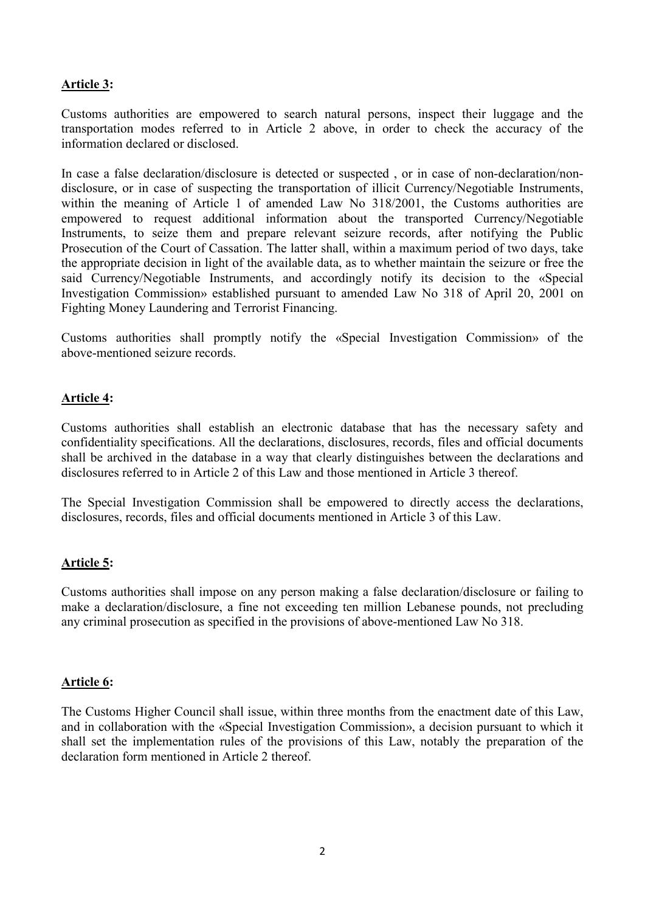### **Article 3:**

Customs authorities are empowered to search natural persons, inspect their luggage and the transportation modes referred to in Article 2 above, in order to check the accuracy of the information declared or disclosed.

In case a false declaration/disclosure is detected or suspected , or in case of non-declaration/nondisclosure, or in case of suspecting the transportation of illicit Currency/Negotiable Instruments, within the meaning of Article 1 of amended Law No 318/2001, the Customs authorities are empowered to request additional information about the transported Currency/Negotiable Instruments, to seize them and prepare relevant seizure records, after notifying the Public Prosecution of the Court of Cassation. The latter shall, within a maximum period of two days, take the appropriate decision in light of the available data, as to whether maintain the seizure or free the said Currency/Negotiable Instruments, and accordingly notify its decision to the «Special Investigation Commission» established pursuant to amended Law No 318 of April 20, 2001 on Fighting Money Laundering and Terrorist Financing.

Customs authorities shall promptly notify the «Special Investigation Commission» of the above-mentioned seizure records.

#### **Article 4:**

Customs authorities shall establish an electronic database that has the necessary safety and confidentiality specifications. All the declarations, disclosures, records, files and official documents shall be archived in the database in a way that clearly distinguishes between the declarations and disclosures referred to in Article 2 of this Law and those mentioned in Article 3 thereof.

The Special Investigation Commission shall be empowered to directly access the declarations, disclosures, records, files and official documents mentioned in Article 3 of this Law.

#### **Article 5:**

Customs authorities shall impose on any person making a false declaration/disclosure or failing to make a declaration/disclosure, a fine not exceeding ten million Lebanese pounds, not precluding any criminal prosecution as specified in the provisions of above-mentioned Law No 318.

#### **Article 6:**

The Customs Higher Council shall issue, within three months from the enactment date of this Law, and in collaboration with the «Special Investigation Commission», a decision pursuant to which it shall set the implementation rules of the provisions of this Law, notably the preparation of the declaration form mentioned in Article 2 thereof.